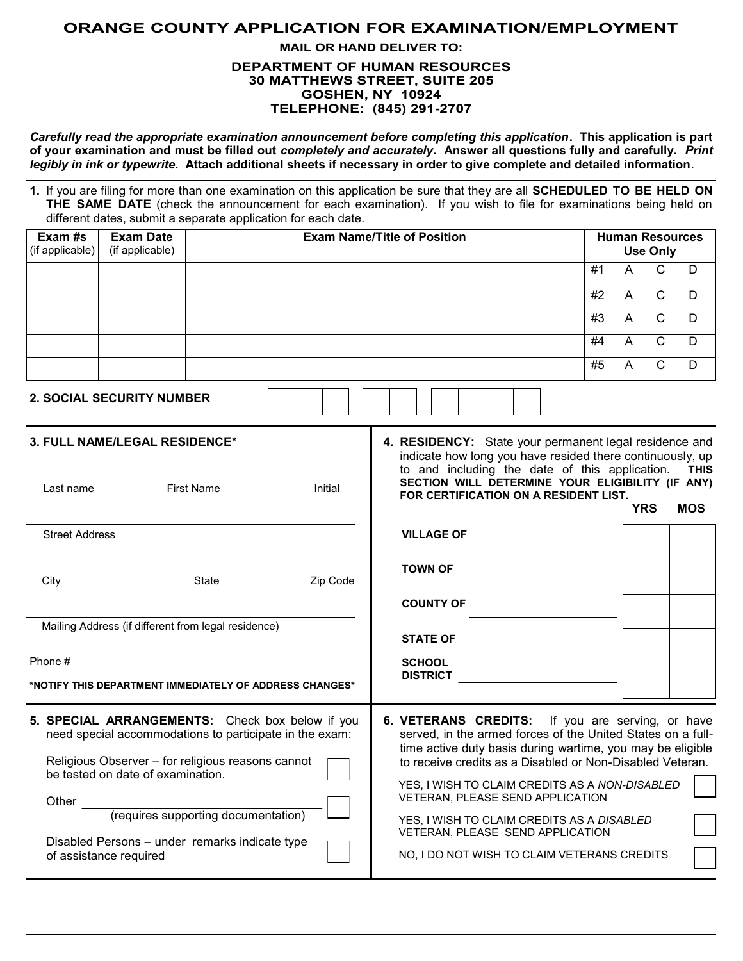# **ORANGE COUNTY APPLICATION FOR EXAMINATION/EMPLOYMENT**

## **MAIL OR HAND DELIVER TO: DEPARTMENT OF HUMAN RESOURCES 30 MATTHEWS STREET, SUITE 205 GOSHEN, NY 10924 TELEPHONE: (845) 291-2707**

*Carefully read the appropriate examination announcement before completing this application***. This application is part of your examination and must be filled out** *completely and accurately***. Answer all questions fully and carefully.** *Print legibly in ink or typewrite***. Attach additional sheets if necessary in order to give complete and detailed information**.

**1.** If you are filing for more than one examination on this application be sure that they are all **SCHEDULED TO BE HELD ON THE SAME DATE** (check the announcement for each examination). If you wish to file for examinations being held on different dates, submit a separate application for each date.

| Exam #s<br>(if applicable) | <b>Exam Date</b><br>(if applicable) | <b>Exam Name/Title of Position</b> | <b>Human Resources</b><br><b>Use Only</b> |   |   |     |
|----------------------------|-------------------------------------|------------------------------------|-------------------------------------------|---|---|-----|
|                            |                                     |                                    | #1                                        | А |   |     |
|                            |                                     |                                    | #2                                        | A |   | -D  |
|                            |                                     |                                    | #3                                        | А | C | - D |
|                            |                                     |                                    | #4                                        | A |   | -D  |
|                            |                                     |                                    | #5                                        | А |   | Ð   |

**2. SOCIAL SECURITY NUMBER**

| <b>3. FULL NAME/LEGAL RESIDENCE*</b>                                                                                                                                                                 |                                                                                       |          | 4. RESIDENCY: State your permanent legal residence and<br>indicate how long you have resided there continuously, up<br>to and including the date of this application.<br><b>THIS</b><br>SECTION WILL DETERMINE YOUR ELIGIBILITY (IF ANY)   |            |  |  |  |
|------------------------------------------------------------------------------------------------------------------------------------------------------------------------------------------------------|---------------------------------------------------------------------------------------|----------|--------------------------------------------------------------------------------------------------------------------------------------------------------------------------------------------------------------------------------------------|------------|--|--|--|
| Last name                                                                                                                                                                                            | <b>First Name</b>                                                                     | Initial  | FOR CERTIFICATION ON A RESIDENT LIST.<br><b>YRS</b>                                                                                                                                                                                        | <b>MOS</b> |  |  |  |
| <b>Street Address</b>                                                                                                                                                                                |                                                                                       |          | <b>VILLAGE OF</b>                                                                                                                                                                                                                          |            |  |  |  |
| City                                                                                                                                                                                                 | State                                                                                 | Zip Code | <b>TOWN OF</b>                                                                                                                                                                                                                             |            |  |  |  |
|                                                                                                                                                                                                      |                                                                                       |          | <b>COUNTY OF</b>                                                                                                                                                                                                                           |            |  |  |  |
|                                                                                                                                                                                                      | Mailing Address (if different from legal residence)                                   |          | <b>STATE OF</b>                                                                                                                                                                                                                            |            |  |  |  |
| Phone #<br>*NOTIFY THIS DEPARTMENT IMMEDIATELY OF ADDRESS CHANGES*                                                                                                                                   |                                                                                       |          | <b>SCHOOL</b><br><b>DISTRICT</b>                                                                                                                                                                                                           |            |  |  |  |
| 5. SPECIAL ARRANGEMENTS: Check box below if you<br>need special accommodations to participate in the exam:<br>Religious Observer - for religious reasons cannot<br>be tested on date of examination. |                                                                                       |          | 6. VETERANS CREDITS: If you are serving, or have<br>served, in the armed forces of the United States on a full-<br>time active duty basis during wartime, you may be eligible<br>to receive credits as a Disabled or Non-Disabled Veteran. |            |  |  |  |
| Other<br>of assistance required                                                                                                                                                                      | (requires supporting documentation)<br>Disabled Persons – under remarks indicate type |          | YES, I WISH TO CLAIM CREDITS AS A NON-DISABLED<br>VETERAN, PLEASE SEND APPLICATION<br>YES, I WISH TO CLAIM CREDITS AS A DISABLED<br>VETERAN, PLEASE SEND APPLICATION<br>NO, I DO NOT WISH TO CLAIM VETERANS CREDITS                        |            |  |  |  |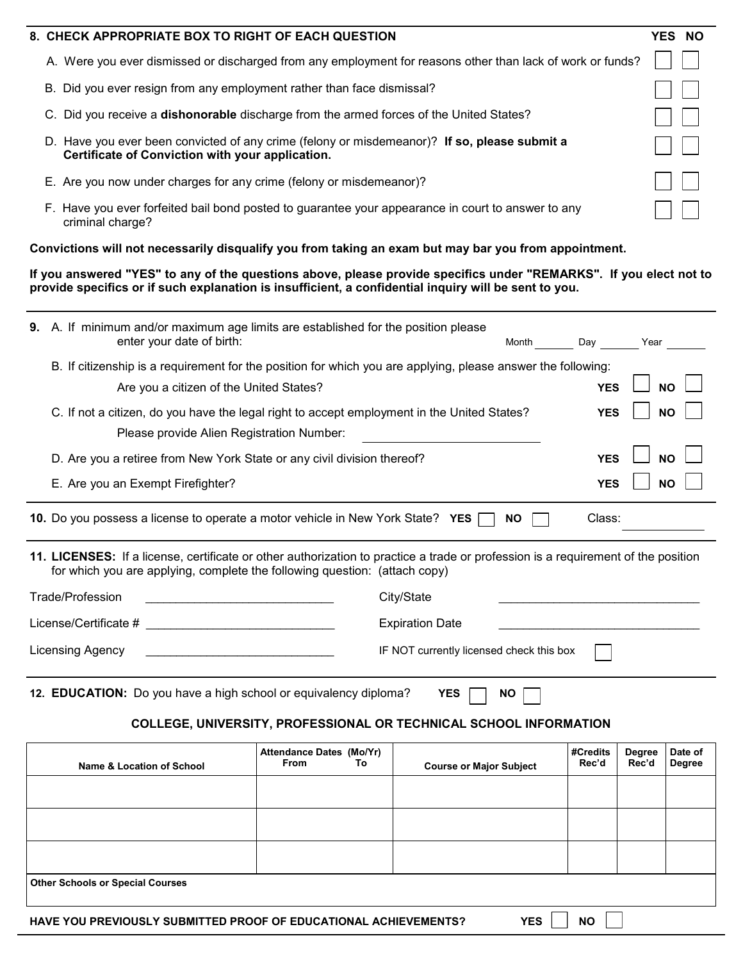| 8. CHECK APPROPRIATE BOX TO RIGHT OF EACH QUESTION                                                                                               | <b>YES NO</b> |
|--------------------------------------------------------------------------------------------------------------------------------------------------|---------------|
| A. Were you ever dismissed or discharged from any employment for reasons other than lack of work or funds?                                       |               |
| B. Did you ever resign from any employment rather than face dismissal?                                                                           |               |
| Did you receive a dishonorable discharge from the armed forces of the United States?                                                             |               |
| D. Have you ever been convicted of any crime (felony or misdemeanor)? If so, please submit a<br>Certificate of Conviction with your application. |               |
| E. Are you now under charges for any crime (felony or misdemeanor)?                                                                              |               |
| F. Have you ever forfeited bail bond posted to guarantee your appearance in court to answer to any<br>criminal charge?                           |               |

**Convictions will not necessarily disqualify you from taking an exam but may bar you from appointment.**

**If you answered "YES" to any of the questions above, please provide specifics under "REMARKS". If you elect not to provide specifics or if such explanation is insufficient, a confidential inquiry will be sent to you.**

|                                                                                             | Name & Location of School                                                                                                                                                                                       | Attendance Dates (Mo/Yr)<br><b>From</b><br>To | <b>Course or Maior Subject</b> |           | #Credits<br>Rec'd | <b>Degree</b><br>Rec'd | Date of<br><b>Degree</b> |  |  |
|---------------------------------------------------------------------------------------------|-----------------------------------------------------------------------------------------------------------------------------------------------------------------------------------------------------------------|-----------------------------------------------|--------------------------------|-----------|-------------------|------------------------|--------------------------|--|--|
|                                                                                             | <b>COLLEGE, UNIVERSITY, PROFESSIONAL OR TECHNICAL SCHOOL INFORMATION</b>                                                                                                                                        |                                               |                                |           |                   |                        |                          |  |  |
| 12. EDUCATION: Do you have a high school or equivalency diploma?<br><b>YES</b><br><b>NO</b> |                                                                                                                                                                                                                 |                                               |                                |           |                   |                        |                          |  |  |
|                                                                                             | Licensing Agency<br>IF NOT currently licensed check this box                                                                                                                                                    |                                               |                                |           |                   |                        |                          |  |  |
|                                                                                             | License/Certificate #                                                                                                                                                                                           |                                               | <b>Expiration Date</b>         |           |                   |                        |                          |  |  |
|                                                                                             | <b>Trade/Profession</b>                                                                                                                                                                                         |                                               | City/State                     |           |                   |                        |                          |  |  |
|                                                                                             | 11. LICENSES: If a license, certificate or other authorization to practice a trade or profession is a requirement of the position<br>for which you are applying, complete the following question: (attach copy) |                                               |                                |           |                   |                        |                          |  |  |
|                                                                                             | 10. Do you possess a license to operate a motor vehicle in New York State? YES                                                                                                                                  |                                               |                                | <b>NO</b> | Class:            |                        |                          |  |  |
|                                                                                             | E. Are you an Exempt Firefighter?                                                                                                                                                                               |                                               |                                |           | <b>YES</b>        |                        | <b>NO</b>                |  |  |
|                                                                                             | D. Are you a retiree from New York State or any civil division thereof?                                                                                                                                         |                                               |                                |           | <b>YES</b>        |                        | <b>NO</b>                |  |  |
|                                                                                             | C. If not a citizen, do you have the legal right to accept employment in the United States?<br><b>YES</b><br><b>NO</b><br>Please provide Alien Registration Number:                                             |                                               |                                |           |                   |                        |                          |  |  |
|                                                                                             | B. If citizenship is a requirement for the position for which you are applying, please answer the following:<br>Are you a citizen of the United States?                                                         | <b>YES</b>                                    |                                | <b>NO</b> |                   |                        |                          |  |  |
|                                                                                             | 9. A. If minimum and/or maximum age limits are established for the position please<br>enter your date of birth:                                                                                                 |                                               | Month                          | Day       | Year              |                        |                          |  |  |

| Name & Location of School                                                                          | <b>Allendance Dates</b> (MO/TI)<br><b>From</b> | Τo | <b>Course or Major Subject</b> | $H$ ureurus<br>Rec'd | negree<br>Rec'd | Date of<br>Degree |  |  |
|----------------------------------------------------------------------------------------------------|------------------------------------------------|----|--------------------------------|----------------------|-----------------|-------------------|--|--|
|                                                                                                    |                                                |    |                                |                      |                 |                   |  |  |
|                                                                                                    |                                                |    |                                |                      |                 |                   |  |  |
|                                                                                                    |                                                |    |                                |                      |                 |                   |  |  |
| <b>Other Schools or Special Courses</b>                                                            |                                                |    |                                |                      |                 |                   |  |  |
| <b>YES</b><br><b>NO</b><br><b>HAVE YOU PREVIOUSLY SUBMITTED PROOF OF EDUCATIONAL ACHIEVEMENTS?</b> |                                                |    |                                |                      |                 |                   |  |  |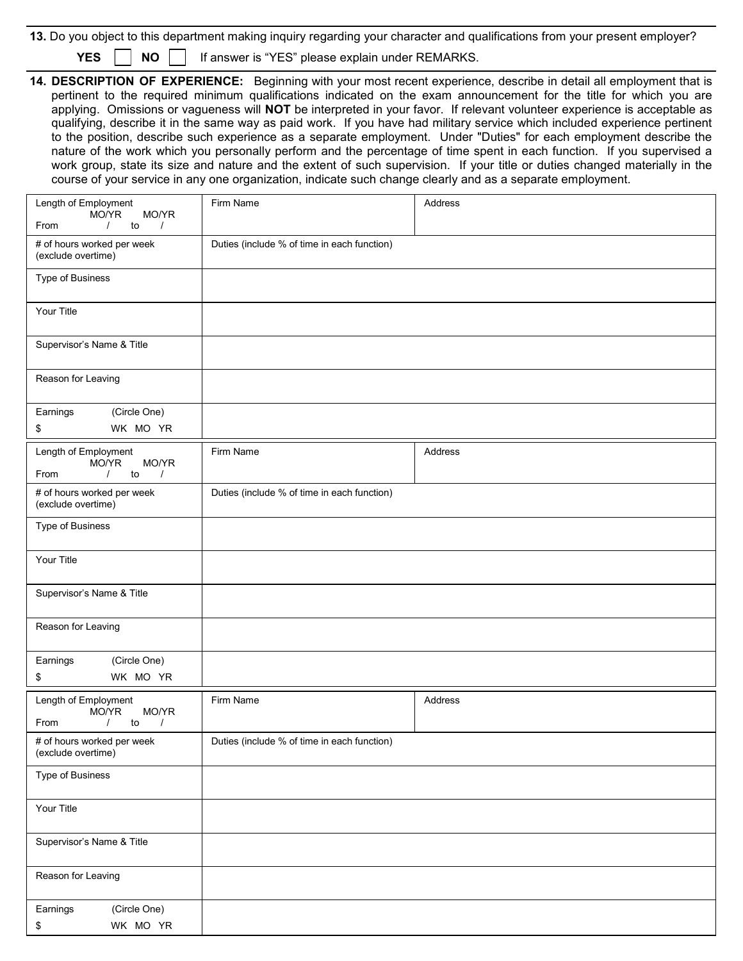|  |  |  |  |  |  | 13. Do you object to this department making inquiry regarding your character and qualifications from your present employer? |
|--|--|--|--|--|--|-----------------------------------------------------------------------------------------------------------------------------|
|--|--|--|--|--|--|-----------------------------------------------------------------------------------------------------------------------------|

**YES** | | **NO** | | If answer is "YES" please explain under REMARKS.

**14. DESCRIPTION OF EXPERIENCE:** Beginning with your most recent experience, describe in detail all employment that is pertinent to the required minimum qualifications indicated on the exam announcement for the title for which you are applying. Omissions or vagueness will **NOT** be interpreted in your favor. If relevant volunteer experience is acceptable as qualifying, describe it in the same way as paid work. If you have had military service which included experience pertinent to the position, describe such experience as a separate employment. Under "Duties" for each employment describe the nature of the work which you personally perform and the percentage of time spent in each function. If you supervised a work group, state its size and nature and the extent of such supervision. If your title or duties changed materially in the course of your service in any one organization, indicate such change clearly and as a separate employment.

| Length of Employment<br>MO/YR<br>MO/YR                                       | Firm Name                                   | Address |
|------------------------------------------------------------------------------|---------------------------------------------|---------|
| From<br>$\sqrt{ }$<br>to<br>$\prime$                                         |                                             |         |
| # of hours worked per week<br>(exclude overtime)                             | Duties (include % of time in each function) |         |
| Type of Business                                                             |                                             |         |
| Your Title                                                                   |                                             |         |
| Supervisor's Name & Title                                                    |                                             |         |
| Reason for Leaving                                                           |                                             |         |
| Earnings<br>(Circle One)<br>WK MO YR<br>\$                                   |                                             |         |
| Length of Employment<br>MO/YR<br>MO/YR<br>to<br>From<br>$\prime$<br>$\prime$ | Firm Name                                   | Address |
| # of hours worked per week<br>(exclude overtime)                             | Duties (include % of time in each function) |         |
| Type of Business                                                             |                                             |         |
| Your Title                                                                   |                                             |         |
| Supervisor's Name & Title                                                    |                                             |         |
| Reason for Leaving                                                           |                                             |         |
| Earnings<br>(Circle One)<br>\$<br>WK MO YR                                   |                                             |         |
| Length of Employment<br>MO/YR<br>MO/YR<br>to<br>From<br>$\prime$<br>$\prime$ | Firm Name                                   | Address |
| # of hours worked per week<br>(exclude overtime)                             | Duties (include % of time in each function) |         |
| Type of Business                                                             |                                             |         |
| Your Title                                                                   |                                             |         |
| Supervisor's Name & Title                                                    |                                             |         |
| Reason for Leaving                                                           |                                             |         |
| (Circle One)<br>Earnings                                                     |                                             |         |
| WK MO YR<br>\$                                                               |                                             |         |